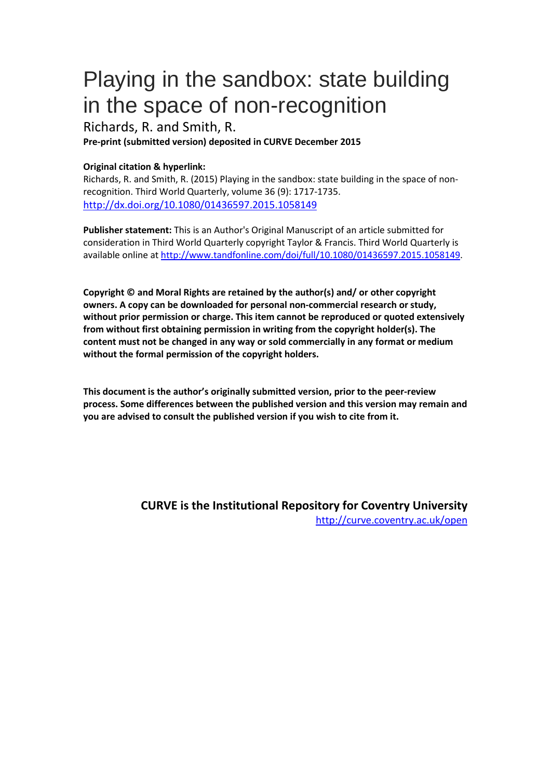# Playing in the sandbox: state building in the space of non-recognition

Richards, R. and Smith, R. **Pre-print (submitted version) deposited in CURVE December 2015**

## **Original citation & hyperlink:**

Richards, R. and Smith, R. (2015) Playing in the sandbox: state building in the space of nonrecognition. Third World Quarterly, volume 36 (9): 1717-1735. <http://dx.doi.org/10.1080/01436597.2015.1058149>

**Publisher statement:** This is an Author's Original Manuscript of an article submitted for consideration in Third World Quarterly copyright Taylor & Francis. Third World Quarterly is available online at [http://www.tandfonline.com/doi/full/10.1080/01436597.2015.1058149.](http://www.tandfonline.com/doi/full/10.1080/01436597.2015.1058149)

**Copyright © and Moral Rights are retained by the author(s) and/ or other copyright owners. A copy can be downloaded for personal non-commercial research or study, without prior permission or charge. This item cannot be reproduced or quoted extensively from without first obtaining permission in writing from the copyright holder(s). The content must not be changed in any way or sold commercially in any format or medium without the formal permission of the copyright holders.** 

**This document is the author's originally submitted version, prior to the peer-review process. Some differences between the published version and this version may remain and you are advised to consult the published version if you wish to cite from it.** 

> **CURVE is the Institutional Repository for Coventry University** <http://curve.coventry.ac.uk/open>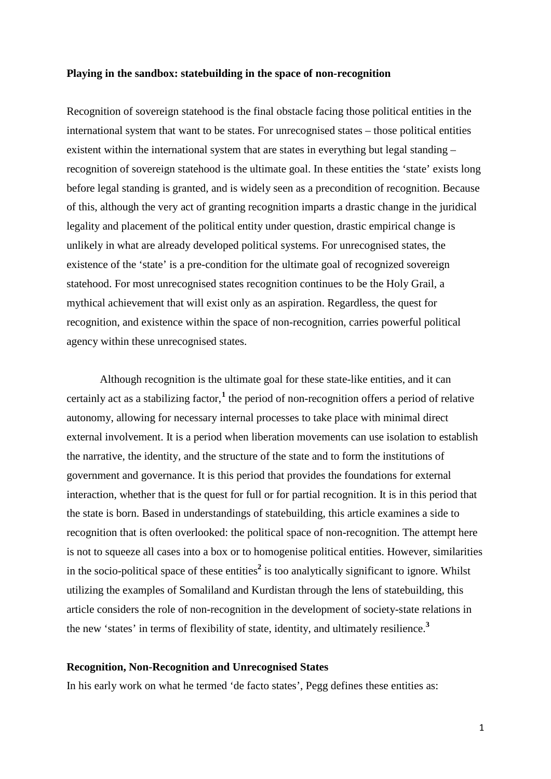#### **Playing in the sandbox: statebuilding in the space of non-recognition**

Recognition of sovereign statehood is the final obstacle facing those political entities in the international system that want to be states. For unrecognised states – those political entities existent within the international system that are states in everything but legal standing – recognition of sovereign statehood is the ultimate goal. In these entities the 'state' exists long before legal standing is granted, and is widely seen as a precondition of recognition. Because of this, although the very act of granting recognition imparts a drastic change in the juridical legality and placement of the political entity under question, drastic empirical change is unlikely in what are already developed political systems. For unrecognised states, the existence of the 'state' is a pre-condition for the ultimate goal of recognized sovereign statehood. For most unrecognised states recognition continues to be the Holy Grail, a mythical achievement that will exist only as an aspiration. Regardless, the quest for recognition, and existence within the space of non-recognition, carries powerful political agency within these unrecognised states.

Although recognition is the ultimate goal for these state-like entities, and it can certainly act as a stabilizing factor,<sup>[1](#page-17-0)</sup> the period of non-recognition offers a period of relative autonomy, allowing for necessary internal processes to take place with minimal direct external involvement. It is a period when liberation movements can use isolation to establish the narrative, the identity, and the structure of the state and to form the institutions of government and governance. It is this period that provides the foundations for external interaction, whether that is the quest for full or for partial recognition. It is in this period that the state is born. Based in understandings of statebuilding, this article examines a side to recognition that is often overlooked: the political space of non-recognition. The attempt here is not to squeeze all cases into a box or to homogenise political entities. However, similarities in the socio-political space of these entities<sup>2</sup> is too analytically significant to ignore. Whilst utilizing the examples of Somaliland and Kurdistan through the lens of statebuilding, this article considers the role of non-recognition in the development of society-state relations in the new 'states' in terms of flexibility of state, identity, and ultimately resilience.**<sup>3</sup>**

#### **Recognition, Non-Recognition and Unrecognised States**

In his early work on what he termed 'de facto states', Pegg defines these entities as: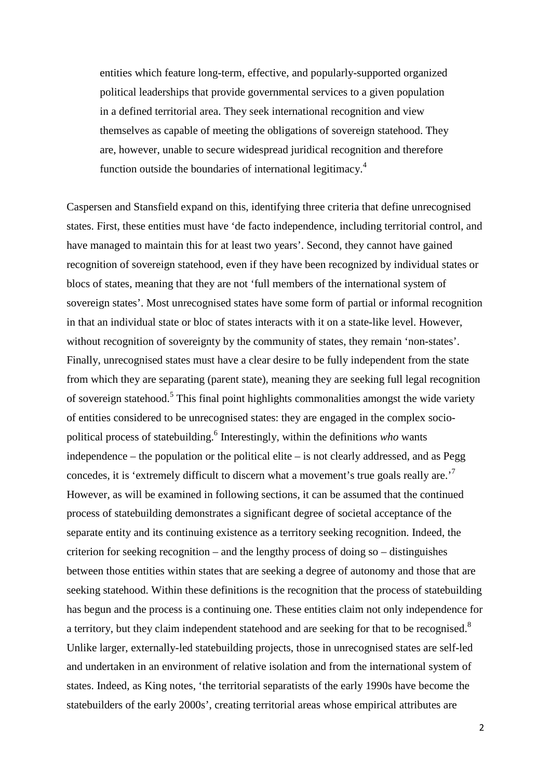entities which feature long-term, effective, and popularly-supported organized political leaderships that provide governmental services to a given population in a defined territorial area. They seek international recognition and view themselves as capable of meeting the obligations of sovereign statehood. They are, however, unable to secure widespread juridical recognition and therefore function outside the boundaries of international legitimacy.<sup>4</sup>

Caspersen and Stansfield expand on this, identifying three criteria that define unrecognised states. First, these entities must have 'de facto independence, including territorial control, and have managed to maintain this for at least two years'. Second, they cannot have gained recognition of sovereign statehood, even if they have been recognized by individual states or blocs of states, meaning that they are not 'full members of the international system of sovereign states'. Most unrecognised states have some form of partial or informal recognition in that an individual state or bloc of states interacts with it on a state-like level. However, without recognition of sovereignty by the community of states, they remain 'non-states'. Finally, unrecognised states must have a clear desire to be fully independent from the state from which they are separating (parent state), meaning they are seeking full legal recognition of sovereign statehood.<sup>5</sup> This final point highlights commonalities amongst the wide variety of entities considered to be unrecognised states: they are engaged in the complex sociopolitical process of statebuilding.6 Interestingly, within the definitions *who* wants independence – the population or the political elite – is not clearly addressed, and as Pegg concedes, it is 'extremely difficult to discern what a movement's true goals really are.'<sup>7</sup> However, as will be examined in following sections, it can be assumed that the continued process of statebuilding demonstrates a significant degree of societal acceptance of the separate entity and its continuing existence as a territory seeking recognition. Indeed, the criterion for seeking recognition – and the lengthy process of doing so – distinguishes between those entities within states that are seeking a degree of autonomy and those that are seeking statehood. Within these definitions is the recognition that the process of statebuilding has begun and the process is a continuing one. These entities claim not only independence for a territory, but they claim independent statehood and are seeking for that to be recognised.<sup>8</sup> Unlike larger, externally-led statebuilding projects, those in unrecognised states are self-led and undertaken in an environment of relative isolation and from the international system of states. Indeed, as King notes, 'the territorial separatists of the early 1990s have become the statebuilders of the early 2000s', creating territorial areas whose empirical attributes are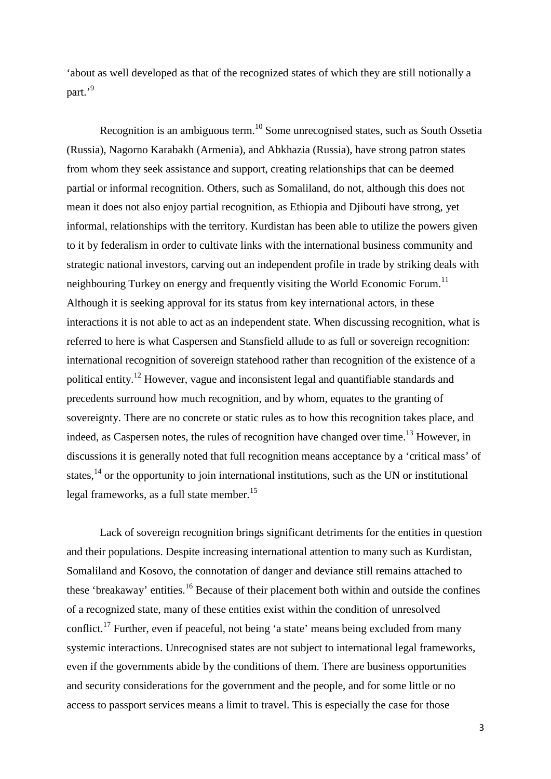'about as well developed as that of the recognized states of which they are still notionally a part.'<sup>9</sup>

Recognition is an ambiguous term.<sup>10</sup> Some unrecognised states, such as South Ossetia (Russia), Nagorno Karabakh (Armenia), and Abkhazia (Russia), have strong patron states from whom they seek assistance and support, creating relationships that can be deemed partial or informal recognition. Others, such as Somaliland, do not, although this does not mean it does not also enjoy partial recognition, as Ethiopia and Djibouti have strong, yet informal, relationships with the territory. Kurdistan has been able to utilize the powers given to it by federalism in order to cultivate links with the international business community and strategic national investors, carving out an independent profile in trade by striking deals with neighbouring Turkey on energy and frequently visiting the World Economic Forum.<sup>11</sup> Although it is seeking approval for its status from key international actors, in these interactions it is not able to act as an independent state. When discussing recognition, what is referred to here is what Caspersen and Stansfield allude to as full or sovereign recognition: international recognition of sovereign statehood rather than recognition of the existence of a political entity.<sup>12</sup> However, vague and inconsistent legal and quantifiable standards and precedents surround how much recognition, and by whom, equates to the granting of sovereignty. There are no concrete or static rules as to how this recognition takes place, and indeed, as Caspersen notes, the rules of recognition have changed over time.<sup>13</sup> However, in discussions it is generally noted that full recognition means acceptance by a 'critical mass' of states,  $14$  or the opportunity to join international institutions, such as the UN or institutional legal frameworks, as a full state member.<sup>15</sup>

Lack of sovereign recognition brings significant detriments for the entities in question and their populations. Despite increasing international attention to many such as Kurdistan, Somaliland and Kosovo, the connotation of danger and deviance still remains attached to these 'breakaway' entities.<sup>16</sup> Because of their placement both within and outside the confines of a recognized state, many of these entities exist within the condition of unresolved conflict.<sup>17</sup> Further, even if peaceful, not being 'a state' means being excluded from many systemic interactions. Unrecognised states are not subject to international legal frameworks, even if the governments abide by the conditions of them. There are business opportunities and security considerations for the government and the people, and for some little or no access to passport services means a limit to travel. This is especially the case for those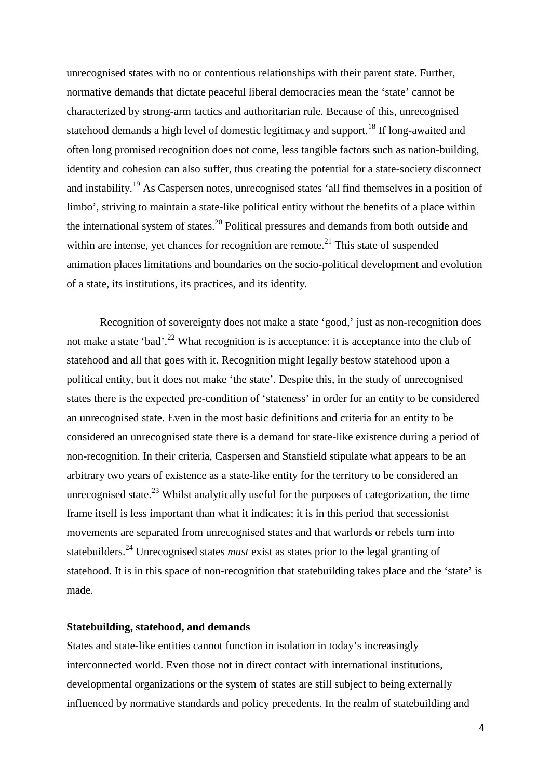unrecognised states with no or contentious relationships with their parent state. Further, normative demands that dictate peaceful liberal democracies mean the 'state' cannot be characterized by strong-arm tactics and authoritarian rule. Because of this, unrecognised statehood demands a high level of domestic legitimacy and support.<sup>18</sup> If long-awaited and often long promised recognition does not come, less tangible factors such as nation-building, identity and cohesion can also suffer, thus creating the potential for a state-society disconnect and instability.<sup>19</sup> As Caspersen notes, unrecognised states 'all find themselves in a position of limbo', striving to maintain a state-like political entity without the benefits of a place within the international system of states.<sup>20</sup> Political pressures and demands from both outside and within are intense, yet chances for recognition are remote.<sup>21</sup> This state of suspended animation places limitations and boundaries on the socio-political development and evolution of a state, its institutions, its practices, and its identity.

Recognition of sovereignty does not make a state 'good,' just as non-recognition does not make a state 'bad'.<sup>22</sup> What recognition is is acceptance: it is acceptance into the club of statehood and all that goes with it. Recognition might legally bestow statehood upon a political entity, but it does not make 'the state'. Despite this, in the study of unrecognised states there is the expected pre-condition of 'stateness' in order for an entity to be considered an unrecognised state. Even in the most basic definitions and criteria for an entity to be considered an unrecognised state there is a demand for state-like existence during a period of non-recognition. In their criteria, Caspersen and Stansfield stipulate what appears to be an arbitrary two years of existence as a state-like entity for the territory to be considered an unrecognised state. $^{23}$  Whilst analytically useful for the purposes of categorization, the time frame itself is less important than what it indicates; it is in this period that secessionist movements are separated from unrecognised states and that warlords or rebels turn into statebuilders.24 Unrecognised states *must* exist as states prior to the legal granting of statehood. It is in this space of non-recognition that statebuilding takes place and the 'state' is made.

#### **Statebuilding, statehood, and demands**

States and state-like entities cannot function in isolation in today's increasingly interconnected world. Even those not in direct contact with international institutions, developmental organizations or the system of states are still subject to being externally influenced by normative standards and policy precedents. In the realm of statebuilding and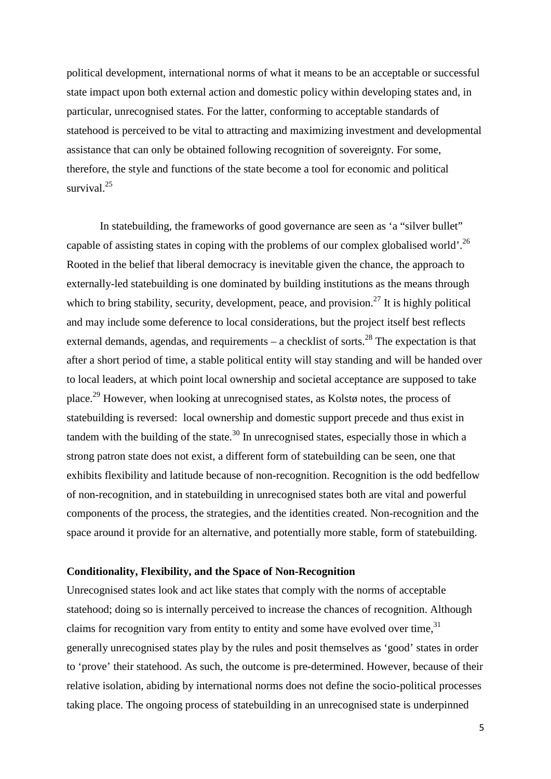political development, international norms of what it means to be an acceptable or successful state impact upon both external action and domestic policy within developing states and, in particular, unrecognised states. For the latter, conforming to acceptable standards of statehood is perceived to be vital to attracting and maximizing investment and developmental assistance that can only be obtained following recognition of sovereignty. For some, therefore, the style and functions of the state become a tool for economic and political survival.<sup>25</sup>

In statebuilding, the frameworks of good governance are seen as 'a "silver bullet" capable of assisting states in coping with the problems of our complex globalised world'.<sup>26</sup> Rooted in the belief that liberal democracy is inevitable given the chance, the approach to externally-led statebuilding is one dominated by building institutions as the means through which to bring stability, security, development, peace, and provision.<sup>27</sup> It is highly political and may include some deference to local considerations, but the project itself best reflects external demands, agendas, and requirements – a checklist of sorts.<sup>28</sup> The expectation is that after a short period of time, a stable political entity will stay standing and will be handed over to local leaders, at which point local ownership and societal acceptance are supposed to take place.<sup>29</sup> However, when looking at unrecognised states, as Kolstø notes, the process of statebuilding is reversed: local ownership and domestic support precede and thus exist in tandem with the building of the state. $30$  In unrecognised states, especially those in which a strong patron state does not exist, a different form of statebuilding can be seen, one that exhibits flexibility and latitude because of non-recognition. Recognition is the odd bedfellow of non-recognition, and in statebuilding in unrecognised states both are vital and powerful components of the process, the strategies, and the identities created. Non-recognition and the space around it provide for an alternative, and potentially more stable, form of statebuilding.

### **Conditionality, Flexibility, and the Space of Non-Recognition**

Unrecognised states look and act like states that comply with the norms of acceptable statehood; doing so is internally perceived to increase the chances of recognition. Although claims for recognition vary from entity to entity and some have evolved over time. $31$ generally unrecognised states play by the rules and posit themselves as 'good' states in order to 'prove' their statehood. As such, the outcome is pre-determined. However, because of their relative isolation, abiding by international norms does not define the socio-political processes taking place. The ongoing process of statebuilding in an unrecognised state is underpinned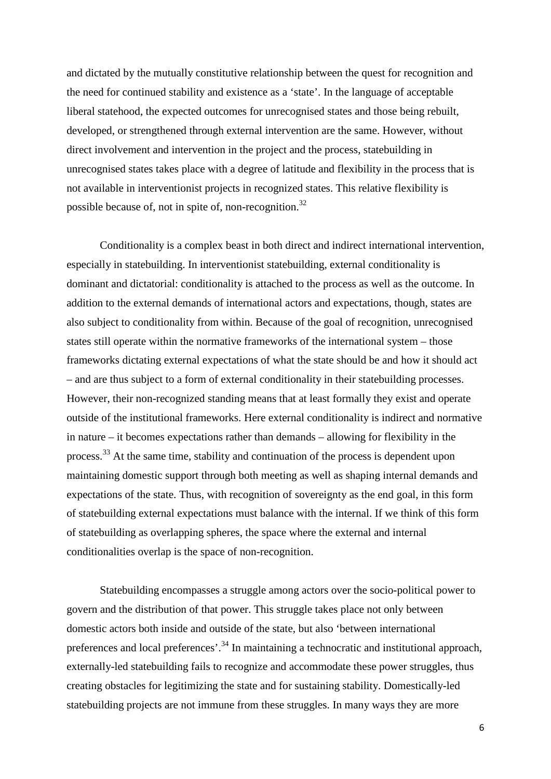and dictated by the mutually constitutive relationship between the quest for recognition and the need for continued stability and existence as a 'state'. In the language of acceptable liberal statehood, the expected outcomes for unrecognised states and those being rebuilt, developed, or strengthened through external intervention are the same. However, without direct involvement and intervention in the project and the process, statebuilding in unrecognised states takes place with a degree of latitude and flexibility in the process that is not available in interventionist projects in recognized states. This relative flexibility is possible because of, not in spite of, non-recognition.<sup>32</sup>

Conditionality is a complex beast in both direct and indirect international intervention, especially in statebuilding. In interventionist statebuilding, external conditionality is dominant and dictatorial: conditionality is attached to the process as well as the outcome. In addition to the external demands of international actors and expectations, though, states are also subject to conditionality from within. Because of the goal of recognition, unrecognised states still operate within the normative frameworks of the international system – those frameworks dictating external expectations of what the state should be and how it should act – and are thus subject to a form of external conditionality in their statebuilding processes. However, their non-recognized standing means that at least formally they exist and operate outside of the institutional frameworks. Here external conditionality is indirect and normative in nature – it becomes expectations rather than demands – allowing for flexibility in the process.<sup>33</sup> At the same time, stability and continuation of the process is dependent upon maintaining domestic support through both meeting as well as shaping internal demands and expectations of the state. Thus, with recognition of sovereignty as the end goal, in this form of statebuilding external expectations must balance with the internal. If we think of this form of statebuilding as overlapping spheres, the space where the external and internal conditionalities overlap is the space of non-recognition.

Statebuilding encompasses a struggle among actors over the socio-political power to govern and the distribution of that power. This struggle takes place not only between domestic actors both inside and outside of the state, but also 'between international preferences and local preferences'.<sup>34</sup> In maintaining a technocratic and institutional approach, externally-led statebuilding fails to recognize and accommodate these power struggles, thus creating obstacles for legitimizing the state and for sustaining stability. Domestically-led statebuilding projects are not immune from these struggles. In many ways they are more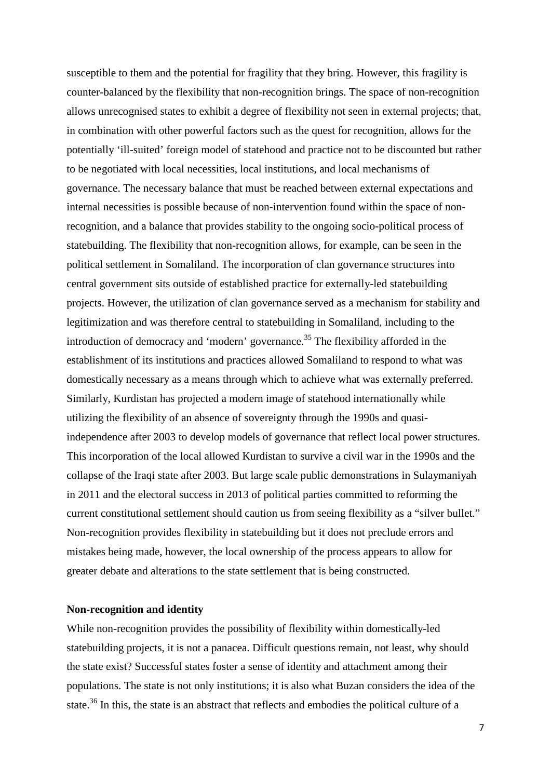susceptible to them and the potential for fragility that they bring. However, this fragility is counter-balanced by the flexibility that non-recognition brings. The space of non-recognition allows unrecognised states to exhibit a degree of flexibility not seen in external projects; that, in combination with other powerful factors such as the quest for recognition, allows for the potentially 'ill-suited' foreign model of statehood and practice not to be discounted but rather to be negotiated with local necessities, local institutions, and local mechanisms of governance. The necessary balance that must be reached between external expectations and internal necessities is possible because of non-intervention found within the space of nonrecognition, and a balance that provides stability to the ongoing socio-political process of statebuilding. The flexibility that non-recognition allows, for example, can be seen in the political settlement in Somaliland. The incorporation of clan governance structures into central government sits outside of established practice for externally-led statebuilding projects. However, the utilization of clan governance served as a mechanism for stability and legitimization and was therefore central to statebuilding in Somaliland, including to the introduction of democracy and 'modern' governance.<sup>35</sup> The flexibility afforded in the establishment of its institutions and practices allowed Somaliland to respond to what was domestically necessary as a means through which to achieve what was externally preferred. Similarly, Kurdistan has projected a modern image of statehood internationally while utilizing the flexibility of an absence of sovereignty through the 1990s and quasiindependence after 2003 to develop models of governance that reflect local power structures. This incorporation of the local allowed Kurdistan to survive a civil war in the 1990s and the collapse of the Iraqi state after 2003. But large scale public demonstrations in Sulaymaniyah in 2011 and the electoral success in 2013 of political parties committed to reforming the current constitutional settlement should caution us from seeing flexibility as a "silver bullet." Non-recognition provides flexibility in statebuilding but it does not preclude errors and mistakes being made, however, the local ownership of the process appears to allow for greater debate and alterations to the state settlement that is being constructed.

#### **Non-recognition and identity**

While non-recognition provides the possibility of flexibility within domestically-led statebuilding projects, it is not a panacea. Difficult questions remain, not least, why should the state exist? Successful states foster a sense of identity and attachment among their populations. The state is not only institutions; it is also what Buzan considers the idea of the state.<sup>36</sup> In this, the state is an abstract that reflects and embodies the political culture of a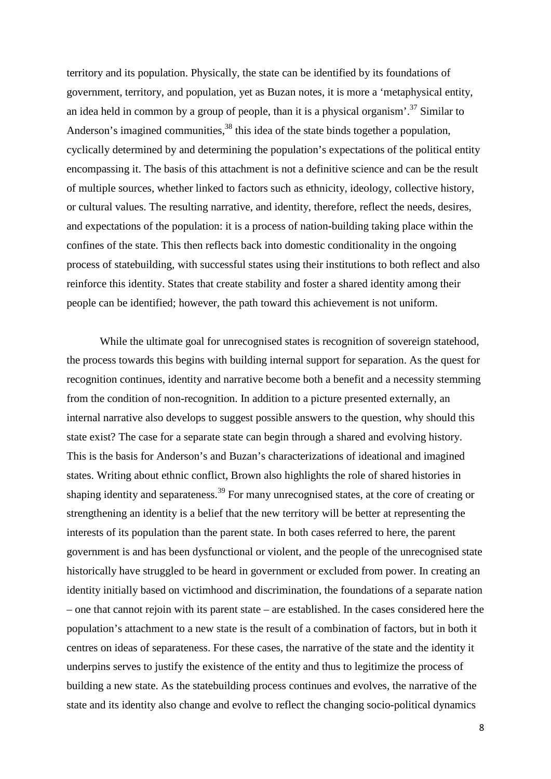territory and its population. Physically, the state can be identified by its foundations of government, territory, and population, yet as Buzan notes, it is more a 'metaphysical entity, an idea held in common by a group of people, than it is a physical organism'.<sup>37</sup> Similar to Anderson's imagined communities,<sup>38</sup> this idea of the state binds together a population, cyclically determined by and determining the population's expectations of the political entity encompassing it. The basis of this attachment is not a definitive science and can be the result of multiple sources, whether linked to factors such as ethnicity, ideology, collective history, or cultural values. The resulting narrative, and identity, therefore, reflect the needs, desires, and expectations of the population: it is a process of nation-building taking place within the confines of the state. This then reflects back into domestic conditionality in the ongoing process of statebuilding, with successful states using their institutions to both reflect and also reinforce this identity. States that create stability and foster a shared identity among their people can be identified; however, the path toward this achievement is not uniform.

While the ultimate goal for unrecognised states is recognition of sovereign statehood, the process towards this begins with building internal support for separation. As the quest for recognition continues, identity and narrative become both a benefit and a necessity stemming from the condition of non-recognition. In addition to a picture presented externally, an internal narrative also develops to suggest possible answers to the question, why should this state exist? The case for a separate state can begin through a shared and evolving history. This is the basis for Anderson's and Buzan's characterizations of ideational and imagined states. Writing about ethnic conflict, Brown also highlights the role of shared histories in shaping identity and separateness.<sup>39</sup> For many unrecognised states, at the core of creating or strengthening an identity is a belief that the new territory will be better at representing the interests of its population than the parent state. In both cases referred to here, the parent government is and has been dysfunctional or violent, and the people of the unrecognised state historically have struggled to be heard in government or excluded from power. In creating an identity initially based on victimhood and discrimination, the foundations of a separate nation – one that cannot rejoin with its parent state – are established. In the cases considered here the population's attachment to a new state is the result of a combination of factors, but in both it centres on ideas of separateness. For these cases, the narrative of the state and the identity it underpins serves to justify the existence of the entity and thus to legitimize the process of building a new state. As the statebuilding process continues and evolves, the narrative of the state and its identity also change and evolve to reflect the changing socio-political dynamics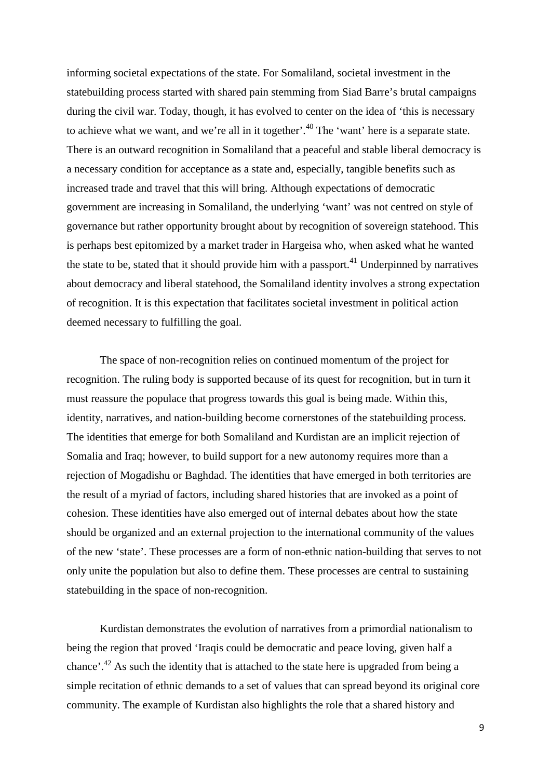informing societal expectations of the state. For Somaliland, societal investment in the statebuilding process started with shared pain stemming from Siad Barre's brutal campaigns during the civil war. Today, though, it has evolved to center on the idea of 'this is necessary to achieve what we want, and we're all in it together'.<sup>40</sup> The 'want' here is a separate state. There is an outward recognition in Somaliland that a peaceful and stable liberal democracy is a necessary condition for acceptance as a state and, especially, tangible benefits such as increased trade and travel that this will bring. Although expectations of democratic government are increasing in Somaliland, the underlying 'want' was not centred on style of governance but rather opportunity brought about by recognition of sovereign statehood. This is perhaps best epitomized by a market trader in Hargeisa who, when asked what he wanted the state to be, stated that it should provide him with a passport.<sup>41</sup> Underpinned by narratives about democracy and liberal statehood, the Somaliland identity involves a strong expectation of recognition. It is this expectation that facilitates societal investment in political action deemed necessary to fulfilling the goal.

The space of non-recognition relies on continued momentum of the project for recognition. The ruling body is supported because of its quest for recognition, but in turn it must reassure the populace that progress towards this goal is being made. Within this, identity, narratives, and nation-building become cornerstones of the statebuilding process. The identities that emerge for both Somaliland and Kurdistan are an implicit rejection of Somalia and Iraq; however, to build support for a new autonomy requires more than a rejection of Mogadishu or Baghdad. The identities that have emerged in both territories are the result of a myriad of factors, including shared histories that are invoked as a point of cohesion. These identities have also emerged out of internal debates about how the state should be organized and an external projection to the international community of the values of the new 'state'. These processes are a form of non-ethnic nation-building that serves to not only unite the population but also to define them. These processes are central to sustaining statebuilding in the space of non-recognition.

Kurdistan demonstrates the evolution of narratives from a primordial nationalism to being the region that proved 'Iraqis could be democratic and peace loving, given half a chance'.<sup>42</sup> As such the identity that is attached to the state here is upgraded from being a simple recitation of ethnic demands to a set of values that can spread beyond its original core community. The example of Kurdistan also highlights the role that a shared history and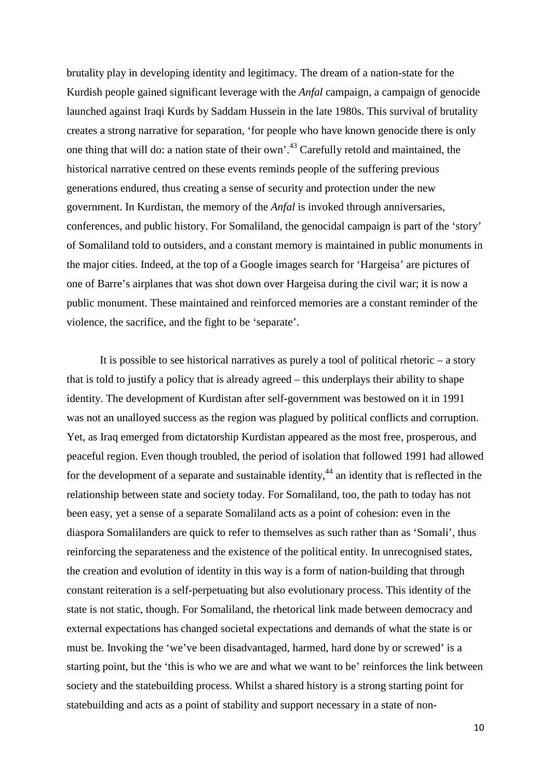brutality play in developing identity and legitimacy. The dream of a nation-state for the Kurdish people gained significant leverage with the *Anfal* campaign, a campaign of genocide launched against Iraqi Kurds by Saddam Hussein in the late 1980s. This survival of brutality creates a strong narrative for separation, 'for people who have known genocide there is only one thing that will do: a nation state of their own'.<sup>43</sup> Carefully retold and maintained, the historical narrative centred on these events reminds people of the suffering previous generations endured, thus creating a sense of security and protection under the new government. In Kurdistan, the memory of the *Anfal* is invoked through anniversaries, conferences, and public history. For Somaliland, the genocidal campaign is part of the 'story' of Somaliland told to outsiders, and a constant memory is maintained in public monuments in the major cities. Indeed, at the top of a Google images search for 'Hargeisa' are pictures of one of Barre's airplanes that was shot down over Hargeisa during the civil war; it is now a public monument. These maintained and reinforced memories are a constant reminder of the violence, the sacrifice, and the fight to be 'separate'.

It is possible to see historical narratives as purely a tool of political rhetoric  $-$  a story that is told to justify a policy that is already agreed – this underplays their ability to shape identity. The development of Kurdistan after self-government was bestowed on it in 1991 was not an unalloyed success as the region was plagued by political conflicts and corruption. Yet, as Iraq emerged from dictatorship Kurdistan appeared as the most free, prosperous, and peaceful region. Even though troubled, the period of isolation that followed 1991 had allowed for the development of a separate and sustainable identity,<sup>44</sup> an identity that is reflected in the relationship between state and society today. For Somaliland, too, the path to today has not been easy, yet a sense of a separate Somaliland acts as a point of cohesion: even in the diaspora Somalilanders are quick to refer to themselves as such rather than as 'Somali', thus reinforcing the separateness and the existence of the political entity. In unrecognised states, the creation and evolution of identity in this way is a form of nation-building that through constant reiteration is a self-perpetuating but also evolutionary process. This identity of the state is not static, though. For Somaliland, the rhetorical link made between democracy and external expectations has changed societal expectations and demands of what the state is or must be. Invoking the 'we've been disadvantaged, harmed, hard done by or screwed' is a starting point, but the 'this is who we are and what we want to be' reinforces the link between society and the statebuilding process. Whilst a shared history is a strong starting point for statebuilding and acts as a point of stability and support necessary in a state of non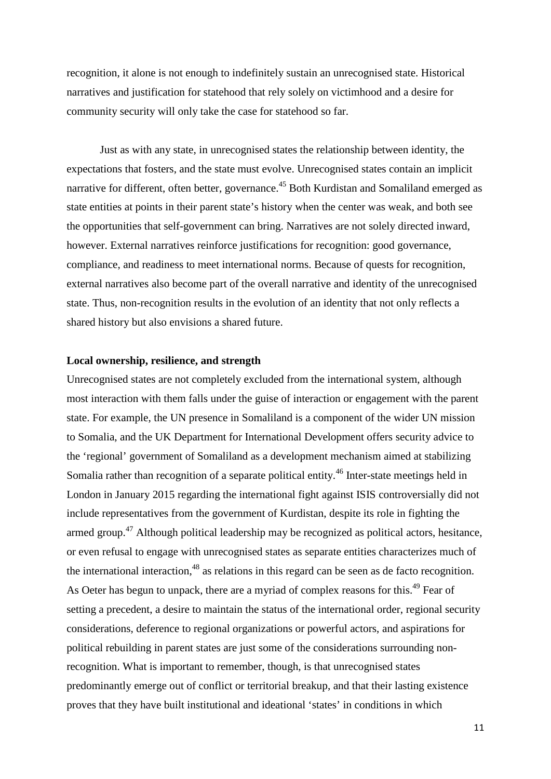recognition, it alone is not enough to indefinitely sustain an unrecognised state. Historical narratives and justification for statehood that rely solely on victimhood and a desire for community security will only take the case for statehood so far.

Just as with any state, in unrecognised states the relationship between identity, the expectations that fosters, and the state must evolve. Unrecognised states contain an implicit narrative for different, often better, governance.<sup>45</sup> Both Kurdistan and Somaliland emerged as state entities at points in their parent state's history when the center was weak, and both see the opportunities that self-government can bring. Narratives are not solely directed inward, however. External narratives reinforce justifications for recognition: good governance, compliance, and readiness to meet international norms. Because of quests for recognition, external narratives also become part of the overall narrative and identity of the unrecognised state. Thus, non-recognition results in the evolution of an identity that not only reflects a shared history but also envisions a shared future.

#### **Local ownership, resilience, and strength**

Unrecognised states are not completely excluded from the international system, although most interaction with them falls under the guise of interaction or engagement with the parent state. For example, the UN presence in Somaliland is a component of the wider UN mission to Somalia, and the UK Department for International Development offers security advice to the 'regional' government of Somaliland as a development mechanism aimed at stabilizing Somalia rather than recognition of a separate political entity.<sup>46</sup> Inter-state meetings held in London in January 2015 regarding the international fight against ISIS controversially did not include representatives from the government of Kurdistan, despite its role in fighting the armed group.<sup>47</sup> Although political leadership may be recognized as political actors, hesitance, or even refusal to engage with unrecognised states as separate entities characterizes much of the international interaction, $48$  as relations in this regard can be seen as de facto recognition. As Oeter has begun to unpack, there are a myriad of complex reasons for this.<sup>49</sup> Fear of setting a precedent, a desire to maintain the status of the international order, regional security considerations, deference to regional organizations or powerful actors, and aspirations for political rebuilding in parent states are just some of the considerations surrounding nonrecognition. What is important to remember, though, is that unrecognised states predominantly emerge out of conflict or territorial breakup, and that their lasting existence proves that they have built institutional and ideational 'states' in conditions in which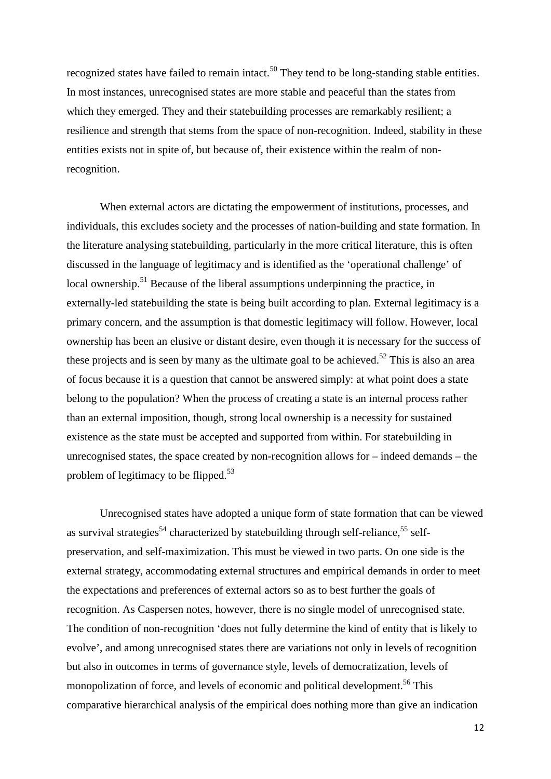recognized states have failed to remain intact.<sup>50</sup> They tend to be long-standing stable entities. In most instances, unrecognised states are more stable and peaceful than the states from which they emerged. They and their statebuilding processes are remarkably resilient; a resilience and strength that stems from the space of non-recognition. Indeed, stability in these entities exists not in spite of, but because of, their existence within the realm of nonrecognition.

When external actors are dictating the empowerment of institutions, processes, and individuals, this excludes society and the processes of nation-building and state formation. In the literature analysing statebuilding, particularly in the more critical literature, this is often discussed in the language of legitimacy and is identified as the 'operational challenge' of local ownership.<sup>51</sup> Because of the liberal assumptions underpinning the practice, in externally-led statebuilding the state is being built according to plan. External legitimacy is a primary concern, and the assumption is that domestic legitimacy will follow. However, local ownership has been an elusive or distant desire, even though it is necessary for the success of these projects and is seen by many as the ultimate goal to be achieved.<sup>52</sup> This is also an area of focus because it is a question that cannot be answered simply: at what point does a state belong to the population? When the process of creating a state is an internal process rather than an external imposition, though, strong local ownership is a necessity for sustained existence as the state must be accepted and supported from within. For statebuilding in unrecognised states, the space created by non-recognition allows for – indeed demands – the problem of legitimacy to be flipped.<sup>53</sup>

Unrecognised states have adopted a unique form of state formation that can be viewed as survival strategies<sup>54</sup> characterized by statebuilding through self-reliance.<sup>55</sup> selfpreservation, and self-maximization. This must be viewed in two parts. On one side is the external strategy, accommodating external structures and empirical demands in order to meet the expectations and preferences of external actors so as to best further the goals of recognition. As Caspersen notes, however, there is no single model of unrecognised state. The condition of non-recognition 'does not fully determine the kind of entity that is likely to evolve', and among unrecognised states there are variations not only in levels of recognition but also in outcomes in terms of governance style, levels of democratization, levels of monopolization of force, and levels of economic and political development.<sup>56</sup> This comparative hierarchical analysis of the empirical does nothing more than give an indication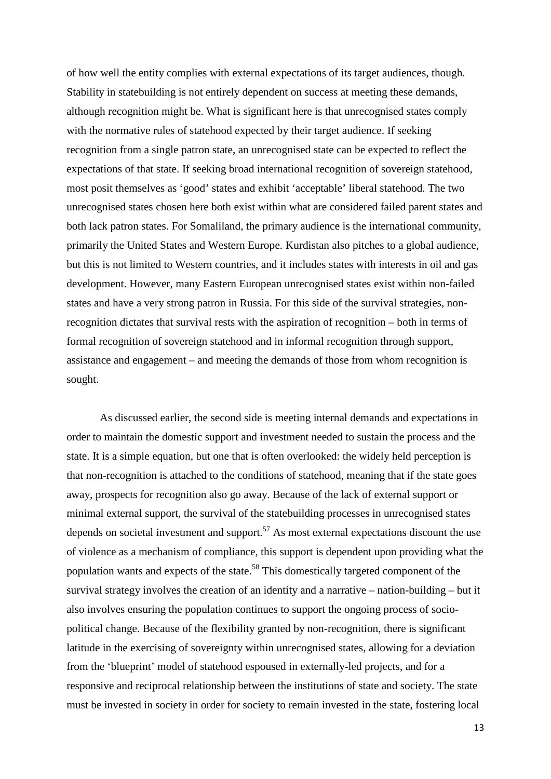of how well the entity complies with external expectations of its target audiences, though. Stability in statebuilding is not entirely dependent on success at meeting these demands, although recognition might be. What is significant here is that unrecognised states comply with the normative rules of statehood expected by their target audience. If seeking recognition from a single patron state, an unrecognised state can be expected to reflect the expectations of that state. If seeking broad international recognition of sovereign statehood, most posit themselves as 'good' states and exhibit 'acceptable' liberal statehood. The two unrecognised states chosen here both exist within what are considered failed parent states and both lack patron states. For Somaliland, the primary audience is the international community, primarily the United States and Western Europe. Kurdistan also pitches to a global audience, but this is not limited to Western countries, and it includes states with interests in oil and gas development. However, many Eastern European unrecognised states exist within non-failed states and have a very strong patron in Russia. For this side of the survival strategies, nonrecognition dictates that survival rests with the aspiration of recognition – both in terms of formal recognition of sovereign statehood and in informal recognition through support, assistance and engagement – and meeting the demands of those from whom recognition is sought.

As discussed earlier, the second side is meeting internal demands and expectations in order to maintain the domestic support and investment needed to sustain the process and the state. It is a simple equation, but one that is often overlooked: the widely held perception is that non-recognition is attached to the conditions of statehood, meaning that if the state goes away, prospects for recognition also go away. Because of the lack of external support or minimal external support, the survival of the statebuilding processes in unrecognised states depends on societal investment and support.<sup>57</sup> As most external expectations discount the use of violence as a mechanism of compliance, this support is dependent upon providing what the population wants and expects of the state.<sup>58</sup> This domestically targeted component of the survival strategy involves the creation of an identity and a narrative – nation-building – but it also involves ensuring the population continues to support the ongoing process of sociopolitical change. Because of the flexibility granted by non-recognition, there is significant latitude in the exercising of sovereignty within unrecognised states, allowing for a deviation from the 'blueprint' model of statehood espoused in externally-led projects, and for a responsive and reciprocal relationship between the institutions of state and society. The state must be invested in society in order for society to remain invested in the state, fostering local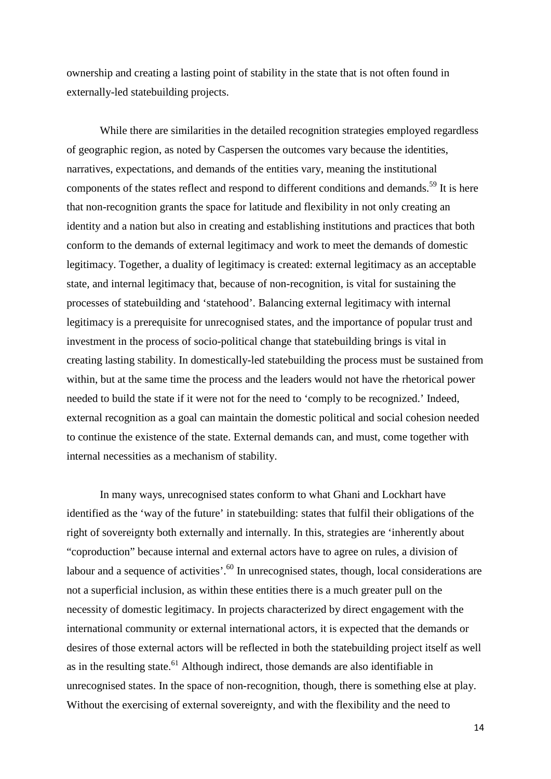ownership and creating a lasting point of stability in the state that is not often found in externally-led statebuilding projects.

While there are similarities in the detailed recognition strategies employed regardless of geographic region, as noted by Caspersen the outcomes vary because the identities, narratives, expectations, and demands of the entities vary, meaning the institutional components of the states reflect and respond to different conditions and demands.<sup>59</sup> It is here that non-recognition grants the space for latitude and flexibility in not only creating an identity and a nation but also in creating and establishing institutions and practices that both conform to the demands of external legitimacy and work to meet the demands of domestic legitimacy. Together, a duality of legitimacy is created: external legitimacy as an acceptable state, and internal legitimacy that, because of non-recognition, is vital for sustaining the processes of statebuilding and 'statehood'. Balancing external legitimacy with internal legitimacy is a prerequisite for unrecognised states, and the importance of popular trust and investment in the process of socio-political change that statebuilding brings is vital in creating lasting stability. In domestically-led statebuilding the process must be sustained from within, but at the same time the process and the leaders would not have the rhetorical power needed to build the state if it were not for the need to 'comply to be recognized.' Indeed, external recognition as a goal can maintain the domestic political and social cohesion needed to continue the existence of the state. External demands can, and must, come together with internal necessities as a mechanism of stability.

In many ways, unrecognised states conform to what Ghani and Lockhart have identified as the 'way of the future' in statebuilding: states that fulfil their obligations of the right of sovereignty both externally and internally. In this, strategies are 'inherently about "coproduction" because internal and external actors have to agree on rules, a division of labour and a sequence of activities'.<sup>60</sup> In unrecognised states, though, local considerations are not a superficial inclusion, as within these entities there is a much greater pull on the necessity of domestic legitimacy. In projects characterized by direct engagement with the international community or external international actors, it is expected that the demands or desires of those external actors will be reflected in both the statebuilding project itself as well as in the resulting state.<sup>61</sup> Although indirect, those demands are also identifiable in unrecognised states. In the space of non-recognition, though, there is something else at play. Without the exercising of external sovereignty, and with the flexibility and the need to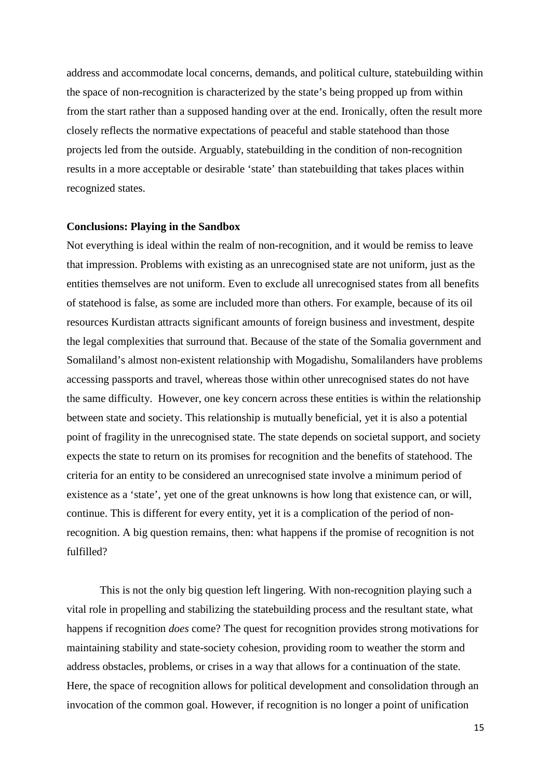address and accommodate local concerns, demands, and political culture, statebuilding within the space of non-recognition is characterized by the state's being propped up from within from the start rather than a supposed handing over at the end. Ironically, often the result more closely reflects the normative expectations of peaceful and stable statehood than those projects led from the outside. Arguably, statebuilding in the condition of non-recognition results in a more acceptable or desirable 'state' than statebuilding that takes places within recognized states.

#### **Conclusions: Playing in the Sandbox**

Not everything is ideal within the realm of non-recognition, and it would be remiss to leave that impression. Problems with existing as an unrecognised state are not uniform, just as the entities themselves are not uniform. Even to exclude all unrecognised states from all benefits of statehood is false, as some are included more than others. For example, because of its oil resources Kurdistan attracts significant amounts of foreign business and investment, despite the legal complexities that surround that. Because of the state of the Somalia government and Somaliland's almost non-existent relationship with Mogadishu, Somalilanders have problems accessing passports and travel, whereas those within other unrecognised states do not have the same difficulty. However, one key concern across these entities is within the relationship between state and society. This relationship is mutually beneficial, yet it is also a potential point of fragility in the unrecognised state. The state depends on societal support, and society expects the state to return on its promises for recognition and the benefits of statehood. The criteria for an entity to be considered an unrecognised state involve a minimum period of existence as a 'state', yet one of the great unknowns is how long that existence can, or will, continue. This is different for every entity, yet it is a complication of the period of nonrecognition. A big question remains, then: what happens if the promise of recognition is not fulfilled?

This is not the only big question left lingering. With non-recognition playing such a vital role in propelling and stabilizing the statebuilding process and the resultant state, what happens if recognition *does* come? The quest for recognition provides strong motivations for maintaining stability and state-society cohesion, providing room to weather the storm and address obstacles, problems, or crises in a way that allows for a continuation of the state. Here, the space of recognition allows for political development and consolidation through an invocation of the common goal. However, if recognition is no longer a point of unification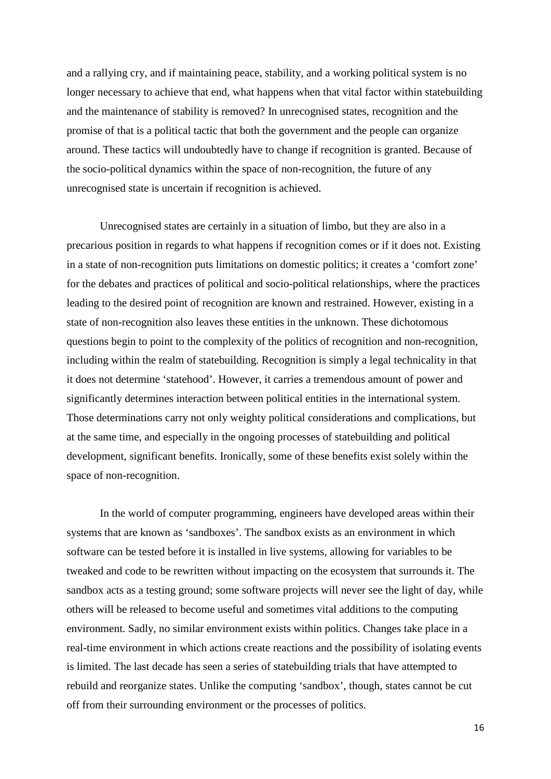and a rallying cry, and if maintaining peace, stability, and a working political system is no longer necessary to achieve that end, what happens when that vital factor within statebuilding and the maintenance of stability is removed? In unrecognised states, recognition and the promise of that is a political tactic that both the government and the people can organize around. These tactics will undoubtedly have to change if recognition is granted. Because of the socio-political dynamics within the space of non-recognition, the future of any unrecognised state is uncertain if recognition is achieved.

Unrecognised states are certainly in a situation of limbo, but they are also in a precarious position in regards to what happens if recognition comes or if it does not. Existing in a state of non-recognition puts limitations on domestic politics; it creates a 'comfort zone' for the debates and practices of political and socio-political relationships, where the practices leading to the desired point of recognition are known and restrained. However, existing in a state of non-recognition also leaves these entities in the unknown. These dichotomous questions begin to point to the complexity of the politics of recognition and non-recognition, including within the realm of statebuilding. Recognition is simply a legal technicality in that it does not determine 'statehood'. However, it carries a tremendous amount of power and significantly determines interaction between political entities in the international system. Those determinations carry not only weighty political considerations and complications, but at the same time, and especially in the ongoing processes of statebuilding and political development, significant benefits. Ironically, some of these benefits exist solely within the space of non-recognition.

In the world of computer programming, engineers have developed areas within their systems that are known as 'sandboxes'. The sandbox exists as an environment in which software can be tested before it is installed in live systems, allowing for variables to be tweaked and code to be rewritten without impacting on the ecosystem that surrounds it. The sandbox acts as a testing ground; some software projects will never see the light of day, while others will be released to become useful and sometimes vital additions to the computing environment. Sadly, no similar environment exists within politics. Changes take place in a real-time environment in which actions create reactions and the possibility of isolating events is limited. The last decade has seen a series of statebuilding trials that have attempted to rebuild and reorganize states. Unlike the computing 'sandbox', though, states cannot be cut off from their surrounding environment or the processes of politics.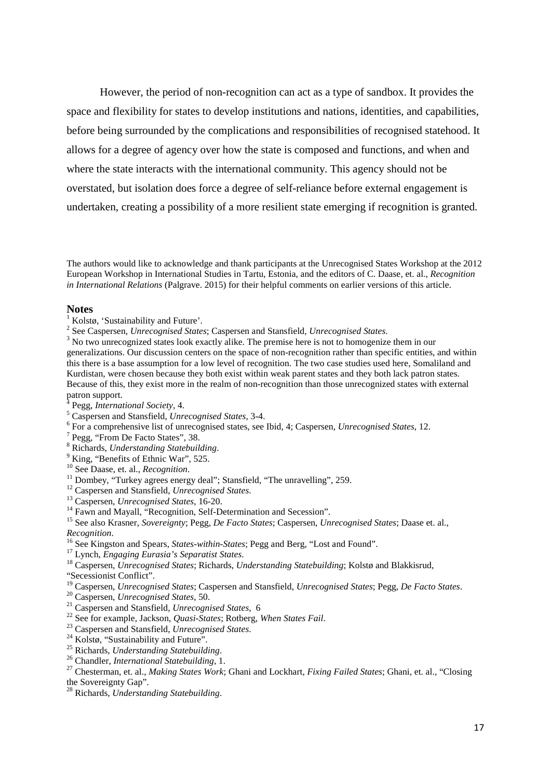However, the period of non-recognition can act as a type of sandbox. It provides the space and flexibility for states to develop institutions and nations, identities, and capabilities, before being surrounded by the complications and responsibilities of recognised statehood. It allows for a degree of agency over how the state is composed and functions, and when and where the state interacts with the international community. This agency should not be overstated, but isolation does force a degree of self-reliance before external engagement is undertaken, creating a possibility of a more resilient state emerging if recognition is granted.

The authors would like to acknowledge and thank participants at the Unrecognised States Workshop at the 2012 European Workshop in International Studies in Tartu, Estonia, and the editors of C. Daase, et. al., *Recognition in International Relations* (Palgrave. 2015) for their helpful comments on earlier versions of this article.

#### <span id="page-17-0"></span>**Notes**

<sup>1</sup> Kolstø, 'Sustainability and Future'.<br><sup>2</sup> See Caspersen, *Unrecognised States*; Caspersen and Stansfield, *Unrecognised States*.

<sup>3</sup> No two unrecognized states look exactly alike. The premise here is not to homogenize them in our generalizations. Our discussion centers on the space of non-recognition rather than specific entities, and within this there is a base assumption for a low level of recognition. The two case studies used here, Somaliland and Kurdistan, were chosen because they both exist within weak parent states and they both lack patron states. Because of this, they exist more in the realm of non-recognition than those unrecognized states with external patron support.<br> $^{4}$  Pegg, *International Society*, 4.

<sup>4</sup> Pegg, *International Society*, 4.<br>
<sup>5</sup> Caspersen and Stansfield, *Unrecognised States*, 3-4.<br>
<sup>6</sup> For a comprehensive list of unrecognised states, see Ibid, 4; Caspersen, *Unrecognised States*, 12.<br>
<sup>6</sup> For a comprehen Recognition.<br><sup>16</sup> See Kingston and Spears, *States-within-States*; Pegg and Berg, "Lost and Found".<br><sup>17</sup> Lynch, *Engaging Eurasia's Separatist States*.<br><sup>18</sup> Caspersen, *Unrecognised States*; Richards, *Understanding Stateb* 

"Secessionist Conflict".<br>
<sup>19</sup> Caspersen, *Unrecognised States*; Caspersen and Stansfield, *Unrecognised States*; Pegg, *De Facto States*.<br>
<sup>20</sup> Caspersen, *Unrecognised States*, 50.<br>
<sup>21</sup> Caspersen and Stansfield, *Unreco* 

the Sovereignty Gap". <sup>28</sup> Richards, *Understanding Statebuilding*.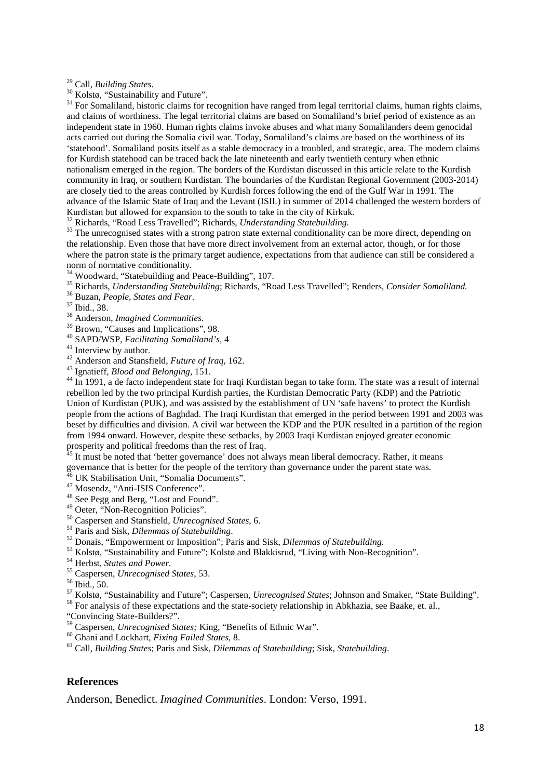<sup>29</sup> Call, *Building States*.<br><sup>30</sup> Kolstø, "Sustainability and Future".<br><sup>31</sup> For Somaliland, historic claims for recognition have ranged from legal territorial claims, human rights claims, and claims of worthiness. The legal territorial claims are based on Somaliland's brief period of existence as an independent state in 1960. Human rights claims invoke abuses and what many Somalilanders deem genocidal acts carried out during the Somalia civil war. Today, Somaliland's claims are based on the worthiness of its 'statehood'. Somaliland posits itself as a stable democracy in a troubled, and strategic, area. The modern claims for Kurdish statehood can be traced back the late nineteenth and early twentieth century when ethnic nationalism emerged in the region. The borders of the Kurdistan discussed in this article relate to the Kurdish community in Iraq, or southern Kurdistan. The boundaries of the Kurdistan Regional Government (2003-2014) are closely tied to the areas controlled by Kurdish forces following the end of the Gulf War in 1991. The advance of the Islamic State of Iraq and the Levant (ISIL) in summer of 2014 challenged the western borders of Kurdistan but allowed for expansion to the south to take in the city of Kirkuk.

 $32$  Richards, "Road Less Travelled"; Richards, *Understanding Statebuilding*.<br> $33$  The unrecognised states with a strong patron state external conditionality can be more direct, depending on the relationship. Even those that have more direct involvement from an external actor, though, or for those where the patron state is the primary target audience, expectations from that audience can still be considered a norm of normative conditionality.<br><sup>34</sup> Woodward, "Statebuilding and Peace-Building", 107.

<sup>35</sup> Richards, *Understanding Statebuilding*; Richards, "Road Less Travelled"; Renders, *Consider Somaliland.*<br><sup>36</sup> Buzan, *People, States and Fear.*<br><sup>37</sup> Ibid., 38.<br><sup>38</sup> Anderson, *Imagined Communities.*<br><sup>39</sup> Brown, "Cau

- 
- 
- 

rebellion led by the two principal Kurdish parties, the Kurdistan Democratic Party (KDP) and the Patriotic Union of Kurdistan (PUK), and was assisted by the establishment of UN 'safe havens' to protect the Kurdish people from the actions of Baghdad. The Iraqi Kurdistan that emerged in the period between 1991 and 2003 was beset by difficulties and division. A civil war between the KDP and the PUK resulted in a partition of the region from 1994 onward. However, despite these setbacks, by 2003 Iraqi Kurdistan enjoyed greater economic

 $\frac{1}{45}$  It must be noted that 'better governance' does not always mean liberal democracy. Rather, it means governance that is better for the people of the territory than governance under the parent state was.<br><sup>46</sup> UK Stabilisation Unit, "Somalia Documents".<br><sup>47</sup> Mosendz, "Anti-ISIS Conference".<br><sup>47</sup> Mosendz, "Anti-ISIS Conferen

- 
- 
- 
- 
- 
- 

- 
- 
- 
- 

<sup>59</sup> Caspersen, *Unrecognised States*; King, "Benefits of Ethnic War".<br><sup>60</sup> Ghani and Lockhart, *Fixing Failed States*, 8.<br><sup>61</sup> Call, *Building States*; Paris and Sisk, *Dilemmas of Statebuilding*; Sisk, *Statebuilding*.

### **References**

Anderson, Benedict. *Imagined Communities*. London: Verso, 1991.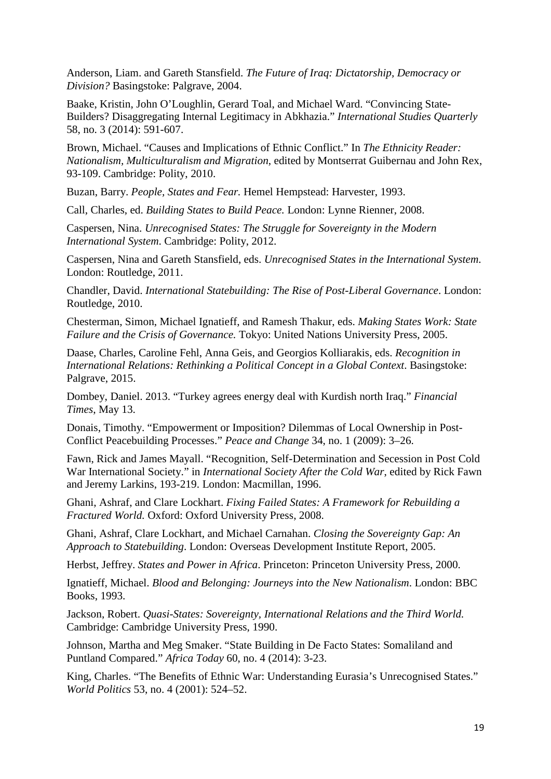Anderson, Liam. and Gareth Stansfield. *The Future of Iraq: Dictatorship, Democracy or Division?* Basingstoke: Palgrave, 2004.

Baake, Kristin, John O'Loughlin, Gerard Toal, and Michael Ward. "Convincing State-Builders? Disaggregating Internal Legitimacy in Abkhazia." *International Studies Quarterly* 58, no. 3 (2014): 591-607.

Brown, Michael. "Causes and Implications of Ethnic Conflict." In *The Ethnicity Reader: Nationalism, Multiculturalism and Migration*, edited by Montserrat Guibernau and John Rex, 93-109. Cambridge: Polity, 2010.

Buzan, Barry. *People, States and Fear.* Hemel Hempstead: Harvester, 1993.

Call, Charles, ed. *Building States to Build Peace.* London: Lynne Rienner, 2008.

Caspersen, Nina. *Unrecognised States: The Struggle for Sovereignty in the Modern International System*. Cambridge: Polity, 2012.

Caspersen, Nina and Gareth Stansfield, eds. *Unrecognised States in the International System*. London: Routledge, 2011.

Chandler, David. *International Statebuilding: The Rise of Post-Liberal Governance*. London: Routledge, 2010.

Chesterman, Simon, Michael Ignatieff, and Ramesh Thakur, eds. *Making States Work: State Failure and the Crisis of Governance.* Tokyo: United Nations University Press, 2005.

Daase, Charles, Caroline Fehl, Anna Geis, and Georgios Kolliarakis, eds. *Recognition in International Relations: Rethinking a Political Concept in a Global Context*. Basingstoke: Palgrave, 2015.

Dombey, Daniel. 2013. "Turkey agrees energy deal with Kurdish north Iraq." *Financial Times*, May 13.

Donais, Timothy. "Empowerment or Imposition? Dilemmas of Local Ownership in Post-Conflict Peacebuilding Processes." *Peace and Change* 34, no. 1 (2009): 3–26.

Fawn, Rick and James Mayall. "Recognition, Self-Determination and Secession in Post Cold War International Society." in *International Society After the Cold War*, edited by Rick Fawn and Jeremy Larkins, 193-219. London: Macmillan, 1996.

Ghani, Ashraf, and Clare Lockhart. *Fixing Failed States: A Framework for Rebuilding a Fractured World.* Oxford: Oxford University Press, 2008.

Ghani, Ashraf, Clare Lockhart, and Michael Carnahan. *Closing the Sovereignty Gap: An Approach to Statebuilding*. London: Overseas Development Institute Report, 2005.

Herbst, Jeffrey. *States and Power in Africa*. Princeton: Princeton University Press, 2000.

Ignatieff, Michael. *Blood and Belonging: Journeys into the New Nationalism*. London: BBC Books, 1993.

Jackson, Robert. *Quasi-States: Sovereignty, International Relations and the Third World.*  Cambridge: Cambridge University Press, 1990.

Johnson, Martha and Meg Smaker. "State Building in De Facto States: Somaliland and Puntland Compared." *Africa Today* 60, no. 4 (2014): 3-23.

King, Charles. "The Benefits of Ethnic War: Understanding Eurasia's Unrecognised States." *World Politics* 53, no. 4 (2001): 524–52.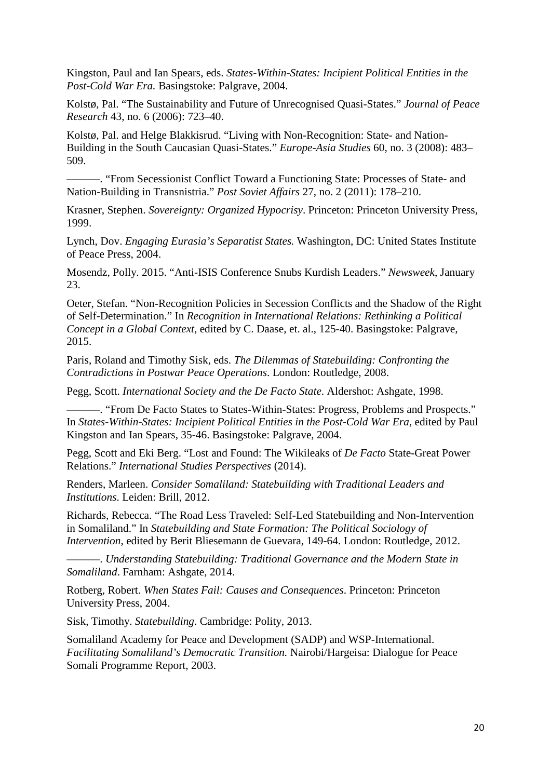Kingston, Paul and Ian Spears, eds. *States-Within-States: Incipient Political Entities in the Post-Cold War Era.* Basingstoke: Palgrave, 2004.

Kolstø, Pal. "The Sustainability and Future of Unrecognised Quasi-States." *Journal of Peace Research* 43, no. 6 (2006): 723–40.

Kolstø, Pal. and Helge Blakkisrud. "Living with Non-Recognition: State- and Nation-Building in the South Caucasian Quasi-States." *Europe-Asia Studies* 60, no. 3 (2008): 483– 509.

———. "From Secessionist Conflict Toward a Functioning State: Processes of State- and Nation-Building in Transnistria." *Post Soviet Affairs* 27, no. 2 (2011): 178–210.

Krasner, Stephen. *Sovereignty: Organized Hypocrisy*. Princeton: Princeton University Press, 1999.

Lynch, Dov. *Engaging Eurasia's Separatist States.* Washington, DC: United States Institute of Peace Press, 2004.

Mosendz, Polly. 2015. "Anti-ISIS Conference Snubs Kurdish Leaders." *Newsweek*, January 23.

Oeter, Stefan. "Non-Recognition Policies in Secession Conflicts and the Shadow of the Right of Self-Determination." In *Recognition in International Relations: Rethinking a Political Concept in a Global Context*, edited by C. Daase, et. al., 125-40. Basingstoke: Palgrave, 2015.

Paris, Roland and Timothy Sisk, eds. *The Dilemmas of Statebuilding: Confronting the Contradictions in Postwar Peace Operations*. London: Routledge, 2008.

Pegg, Scott. *International Society and the De Facto State*. Aldershot: Ashgate, 1998.

———. "From De Facto States to States-Within-States: Progress, Problems and Prospects." In *States-Within-States: Incipient Political Entities in the Post-Cold War Era*, edited by Paul Kingston and Ian Spears, 35-46. Basingstoke: Palgrave, 2004.

Pegg, Scott and Eki Berg. "Lost and Found: The Wikileaks of *De Facto* State-Great Power Relations." *International Studies Perspectives* (2014).

Renders, Marleen. *Consider Somaliland: Statebuilding with Traditional Leaders and Institutions*. Leiden: Brill, 2012.

Richards, Rebecca. "The Road Less Traveled: Self-Led Statebuilding and Non-Intervention in Somaliland." In *Statebuilding and State Formation: The Political Sociology of Intervention*, edited by Berit Bliesemann de Guevara, 149-64. London: Routledge, 2012.

———. *Understanding Statebuilding: Traditional Governance and the Modern State in Somaliland*. Farnham: Ashgate, 2014.

Rotberg, Robert. *When States Fail: Causes and Consequences*. Princeton: Princeton University Press, 2004.

Sisk, Timothy. *Statebuilding*. Cambridge: Polity, 2013.

Somaliland Academy for Peace and Development (SADP) and WSP-International. *Facilitating Somaliland's Democratic Transition.* Nairobi/Hargeisa: Dialogue for Peace Somali Programme Report, 2003.